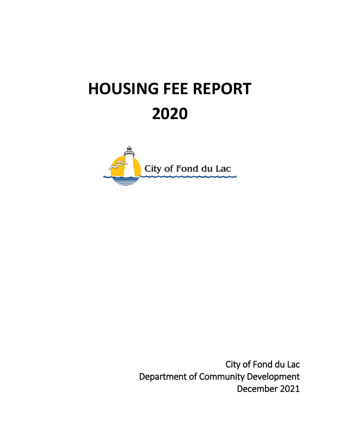# **HOUSING FEE REPORT 2020**



City of Fond du Lac Department of Community Development December 2021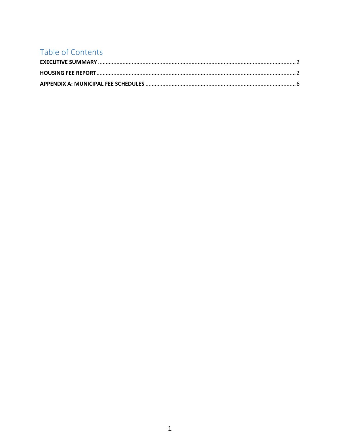# Table of Contents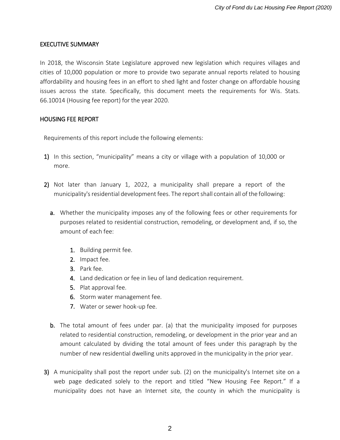#### <span id="page-2-0"></span>EXECUTIVE SUMMARY

In 2018, the Wisconsin State Legislature approved new legislation which requires villages and cities of 10,000 population or more to provide two separate annual reports related to housing affordability and housing fees in an effort to shed light and foster change on affordable housing issues across the state. Specifically, this document meets the requirements for Wis. Stats. 66.10014 (Housing fee report) for the year 2020.

#### <span id="page-2-1"></span>HOUSING FEE REPORT

Requirements of this report include the following elements:

- 1) In this section, "municipality" means a city or village with a population of 10,000 or more.
- 2) Not later than January 1, 2022, a municipality shall prepare a report of the municipality's residential development fees. The report shall contain all of the following:
	- a. Whether the municipality imposes any of the following fees or other requirements for purposes related to residential construction, remodeling, or development and, if so, the amount of each fee:
		- 1. Building permit fee.
		- 2. Impact fee.
		- 3. Park fee.
		- 4. Land dedication or fee in lieu of land dedication requirement.
		- 5. Plat approval fee.
		- 6. Storm water management fee.
		- 7. Water or sewer hook-up fee.
	- b. The total amount of fees under par. (a) that the municipality imposed for purposes related to residential construction, remodeling, or development in the prior year and an amount calculated by dividing the total amount of fees under this paragraph by the number of new residential dwelling units approved in the municipality in the prior year.
- 3) A municipality shall post the report under sub. (2) on the municipality's Internet site on a web page dedicated solely to the report and titled "New Housing Fee Report." If a municipality does not have an Internet site, the county in which the municipality is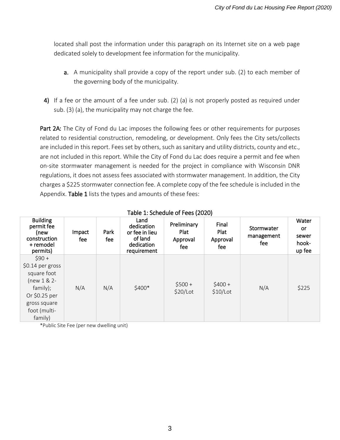located shall post the information under this paragraph on its Internet site on a web page dedicated solely to development fee information for the municipality.

- a. A municipality shall provide a copy of the report under sub. (2) to each member of the governing body of the municipality.
- 4) If a fee or the amount of a fee under sub. (2) (a) is not properly posted as required under sub. (3) (a), the municipality may not charge the fee.

Part 2A: The City of Fond du Lac imposes the following fees or other requirements for purposes related to residential construction, remodeling, or development. Only fees the City sets/collects are included in this report. Fees set by others, such as sanitary and utility districts, county and etc., are not included in this report. While the City of Fond du Lac does require a permit and fee when on-site stormwater management is needed for the project in compliance with Wisconsin DNR regulations, it does not assess fees associated with stormwater management. In addition, the City charges a \$225 stormwater connection fee. A complete copy of the fee schedule is included in the Appendix. Table 1 lists the types and amounts of these fees:

| <b>Building</b><br>permit fee<br>(new<br>construction<br>+ remodel<br>permits)                                                        | Impact<br>fee | Park<br>fee | Land<br>dedication<br>or fee in lieu<br>of land<br>dedication<br>requirement | Preliminary<br>Plat<br>Approval<br>fee | Final<br>Plat<br>Approval<br>fee | Stormwater<br>management<br>fee | Water<br><b>or</b><br>sewer<br>hook-<br>up fee |
|---------------------------------------------------------------------------------------------------------------------------------------|---------------|-------------|------------------------------------------------------------------------------|----------------------------------------|----------------------------------|---------------------------------|------------------------------------------------|
| $$90 +$<br>$$0.14$ per gross<br>square foot<br>$(new 1 & 2 -$<br>family);<br>Or \$0.25 per<br>gross square<br>foot (multi-<br>family) | N/A           | N/A         | \$400*                                                                       | $$500+$<br>\$20/Lot                    | $$400+$<br>$$10/$ Lot            | N/A                             | \$225                                          |

#### Table 1: Schedule of Fees (2020)

\*Public Site Fee (per new dwelling unit)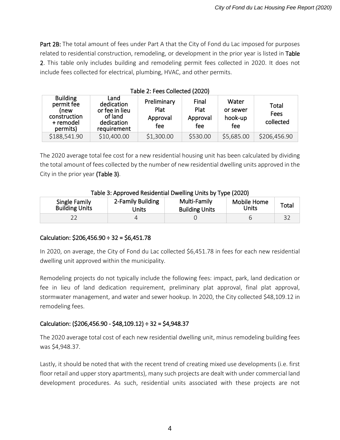Part 2B: The total amount of fees under Part A that the City of Fond du Lac imposed for purposes related to residential construction, remodeling, or development in the prior year is listed in Table 2. This table only includes building and remodeling permit fees collected in 2020. It does not include fees collected for electrical, plumbing, HVAC, and other permits.

| Table 2: Fees Collected (2020)                                                 |                                                                              |                                        |                                  |                                     |                            |
|--------------------------------------------------------------------------------|------------------------------------------------------------------------------|----------------------------------------|----------------------------------|-------------------------------------|----------------------------|
| <b>Building</b><br>permit fee<br>(new<br>construction<br>+ remodel<br>permits) | Land<br>dedication<br>or fee in lieu<br>of land<br>dedication<br>requirement | Preliminary<br>Plat<br>Approval<br>fee | Final<br>Plat<br>Approval<br>fee | Water<br>or sewer<br>hook-up<br>fee | Total<br>Fees<br>collected |
| \$188,541.90                                                                   | \$10,400.00                                                                  | \$1,300.00                             | \$530.00                         | \$5,685.00                          | \$206,456.90               |

The 2020 average total fee cost for a new residential housing unit has been calculated by dividing

the total amount of fees collected by the number of new residential dwelling units approved in the City in the prior year (Table 3).

## Table 3: Approved Residential Dwelling Units by Type (2020)

| Single Family         | 2-Family Building | Multi-Family          | Mobile Home | Total |
|-----------------------|-------------------|-----------------------|-------------|-------|
| <b>Building Units</b> | Jnits             | <b>Building Units</b> | Units       |       |
|                       |                   |                       |             |       |

## Calculation:  $$206,456.90 \div 32 = $6,451.78$

In 2020, on average, the City of Fond du Lac collected \$6,451.78 in fees for each new residential dwelling unit approved within the municipality.

Remodeling projects do not typically include the following fees: impact, park, land dedication or fee in lieu of land dedication requirement, preliminary plat approval, final plat approval, stormwater management, and water and sewer hookup. In 2020, the City collected \$48,109.12 in remodeling fees.

## Calculation: (\$206,456.90 - \$48,109.12) ÷ 32 = \$4,948.37

The 2020 average total cost of each new residential dwelling unit, minus remodeling building fees was \$4,948.37.

Lastly, it should be noted that with the recent trend of creating mixed use developments (i.e. first floor retail and upper story apartments), many such projects are dealt with under commercial land development procedures. As such, residential units associated with these projects are not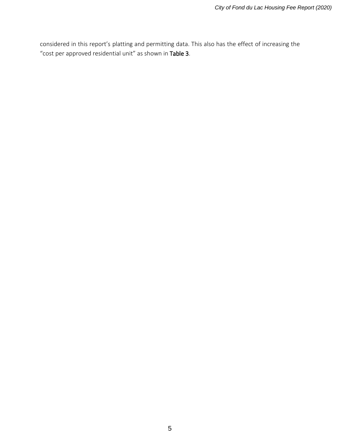considered in this report's platting and permitting data. This also has the effect of increasing the "cost per approved residential unit" as shown in Table 3.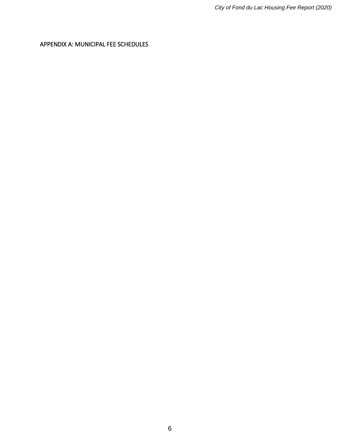<span id="page-6-0"></span>APPENDIX A: MUNICIPAL FEE SCHEDULES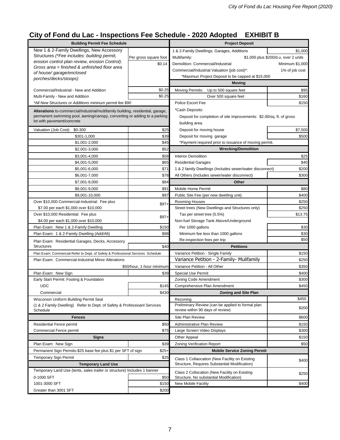# **City of Fond du Lac - Inspections Fee Schedule - 2020 Adopted EXHIBIT B**

| New 1 & 2-Family Dwellings, New Accessory<br>1 & 2-Family Dwellings, Garages, Additions<br>Structures (*Fee includes: building permit,<br>Per gross square foot<br>Multifamily:<br>\$1,000 plus \$200/d.u. over 2 units<br>erosion control plan review, erosion Control).<br>\$0.14<br>Demolition- Commercial/Industrial<br>Gross area = finished & unfinished floor area<br>Commercial/Industrial Valuation (job cost)*:<br>of house/garage/enclosed<br>*Maximun Project Deposit to be capped at \$15,000<br>porches/decks/stoops)<br><b>Moving</b><br>\$0.25<br>Commercial/Industrial - New and Addition<br><b>Moving Permits:</b><br>Up to 500 square feet<br>\$0.25<br>Over 500 square feet<br>Multi-Family - New and Addition | \$1,000<br>Minimum \$1,000<br>1% of job cost<br>\$95<br>\$160<br>\$150 |  |
|------------------------------------------------------------------------------------------------------------------------------------------------------------------------------------------------------------------------------------------------------------------------------------------------------------------------------------------------------------------------------------------------------------------------------------------------------------------------------------------------------------------------------------------------------------------------------------------------------------------------------------------------------------------------------------------------------------------------------------|------------------------------------------------------------------------|--|
|                                                                                                                                                                                                                                                                                                                                                                                                                                                                                                                                                                                                                                                                                                                                    |                                                                        |  |
|                                                                                                                                                                                                                                                                                                                                                                                                                                                                                                                                                                                                                                                                                                                                    |                                                                        |  |
|                                                                                                                                                                                                                                                                                                                                                                                                                                                                                                                                                                                                                                                                                                                                    |                                                                        |  |
|                                                                                                                                                                                                                                                                                                                                                                                                                                                                                                                                                                                                                                                                                                                                    |                                                                        |  |
|                                                                                                                                                                                                                                                                                                                                                                                                                                                                                                                                                                                                                                                                                                                                    |                                                                        |  |
|                                                                                                                                                                                                                                                                                                                                                                                                                                                                                                                                                                                                                                                                                                                                    |                                                                        |  |
|                                                                                                                                                                                                                                                                                                                                                                                                                                                                                                                                                                                                                                                                                                                                    |                                                                        |  |
|                                                                                                                                                                                                                                                                                                                                                                                                                                                                                                                                                                                                                                                                                                                                    |                                                                        |  |
| Police Escort Fee<br>*All New Structures or Additions mininum permit fee \$90                                                                                                                                                                                                                                                                                                                                                                                                                                                                                                                                                                                                                                                      |                                                                        |  |
| *Cash Deposits:<br>Alterations to-commercial/industrial/multifamily building, residential, garage,                                                                                                                                                                                                                                                                                                                                                                                                                                                                                                                                                                                                                                 |                                                                        |  |
| permanent swimming pool, awning/canopy, converting or adding to a parking<br>Deposit for completion of site improvements: \$2.00/sq. ft. of gross                                                                                                                                                                                                                                                                                                                                                                                                                                                                                                                                                                                  |                                                                        |  |
| lot with pavement/concrete<br>building area.                                                                                                                                                                                                                                                                                                                                                                                                                                                                                                                                                                                                                                                                                       |                                                                        |  |
| Valuation (Job Cost):<br>Deposit for moving house<br>\$0-300<br>\$25                                                                                                                                                                                                                                                                                                                                                                                                                                                                                                                                                                                                                                                               | \$7,500                                                                |  |
| \$39<br>Deposit for moving garage<br>\$301-1,000                                                                                                                                                                                                                                                                                                                                                                                                                                                                                                                                                                                                                                                                                   | \$500                                                                  |  |
| \$45<br>\$1,001-2,000<br>*Payment required prior to issuance of moving permit.                                                                                                                                                                                                                                                                                                                                                                                                                                                                                                                                                                                                                                                     |                                                                        |  |
| <b>Wrecking/Demolition</b><br>\$52<br>\$2,001-3,000                                                                                                                                                                                                                                                                                                                                                                                                                                                                                                                                                                                                                                                                                |                                                                        |  |
| \$3,001-4,000<br>\$58<br><b>Interior Demolition</b>                                                                                                                                                                                                                                                                                                                                                                                                                                                                                                                                                                                                                                                                                | \$25                                                                   |  |
| \$65<br><b>Residential Garages</b><br>\$4,001-5,000                                                                                                                                                                                                                                                                                                                                                                                                                                                                                                                                                                                                                                                                                | \$40                                                                   |  |
| \$71<br>\$5,001-6,000<br>1 & 2 family Dwellings (Includes sewer/water disconnect)                                                                                                                                                                                                                                                                                                                                                                                                                                                                                                                                                                                                                                                  | \$200                                                                  |  |
| \$78<br>\$6,001-7,000<br>All Others (Includes sewer/water disconnect)                                                                                                                                                                                                                                                                                                                                                                                                                                                                                                                                                                                                                                                              | \$300                                                                  |  |
| \$84<br><b>Other</b><br>\$7,001-8,000                                                                                                                                                                                                                                                                                                                                                                                                                                                                                                                                                                                                                                                                                              |                                                                        |  |
| \$91<br><b>Mobile Home Permit</b><br>\$8,001-9,000                                                                                                                                                                                                                                                                                                                                                                                                                                                                                                                                                                                                                                                                                 | \$80                                                                   |  |
| \$97<br>Public Site Fee (per new dwelling unit)<br>\$9,001-10,000                                                                                                                                                                                                                                                                                                                                                                                                                                                                                                                                                                                                                                                                  | \$400                                                                  |  |
| Over \$10,000 Commercial-Industrial: Fee plus<br>Rooming Houses<br>$$97+$                                                                                                                                                                                                                                                                                                                                                                                                                                                                                                                                                                                                                                                          | \$250                                                                  |  |
| Street trees (New Dwellings and Structures only)<br>\$7.00 per each \$1,000 over \$10,000                                                                                                                                                                                                                                                                                                                                                                                                                                                                                                                                                                                                                                          | \$250                                                                  |  |
| Over \$10,000 Residential: Fee plus<br>Tax per street tree (5.5%)<br>$$97+$                                                                                                                                                                                                                                                                                                                                                                                                                                                                                                                                                                                                                                                        | \$13.75                                                                |  |
| \$4.00 per each \$1,000 over \$10,000<br>Non-fuel Storage Tank Above/Underground                                                                                                                                                                                                                                                                                                                                                                                                                                                                                                                                                                                                                                                   |                                                                        |  |
| Per 1000 gallons<br>Plan Exam: New 1 & 2-Family Dwelling<br>\$150                                                                                                                                                                                                                                                                                                                                                                                                                                                                                                                                                                                                                                                                  | \$30                                                                   |  |
| Plan Exam: 1 & 2-Family Dwelling (Add/Alt)<br>\$98<br>Minimum fee less than 1000 gallons                                                                                                                                                                                                                                                                                                                                                                                                                                                                                                                                                                                                                                           | \$30                                                                   |  |
| Re-inspection fees per trip<br>Plan Exam: Residential Garages, Decks, Accessory                                                                                                                                                                                                                                                                                                                                                                                                                                                                                                                                                                                                                                                    | \$50                                                                   |  |
| <b>Structures</b><br>\$40<br><b>Petitions</b>                                                                                                                                                                                                                                                                                                                                                                                                                                                                                                                                                                                                                                                                                      |                                                                        |  |
| Plan Exam: Commercial-Refer to Dept. of Safety & Professional Services Schedule<br>Variance Petition - Single Family                                                                                                                                                                                                                                                                                                                                                                                                                                                                                                                                                                                                               | \$150                                                                  |  |
| Variance Petition - 2-Family- Mulifamily<br>Plan Exam: Commercial-Industrial Minor Alterations                                                                                                                                                                                                                                                                                                                                                                                                                                                                                                                                                                                                                                     | \$250                                                                  |  |
| \$50/hour, 1-hour minimum<br>Variance Petition - All Other                                                                                                                                                                                                                                                                                                                                                                                                                                                                                                                                                                                                                                                                         | \$350                                                                  |  |
| \$39<br>Special Use Permit<br>Plan Exam: New Sign                                                                                                                                                                                                                                                                                                                                                                                                                                                                                                                                                                                                                                                                                  | \$400                                                                  |  |
| Early Start Permit: Footing & Foundation<br>Zoning Code Amendment                                                                                                                                                                                                                                                                                                                                                                                                                                                                                                                                                                                                                                                                  | \$300                                                                  |  |
| <b>UDC</b><br>\$145<br>Comprehensive Plan Amendment                                                                                                                                                                                                                                                                                                                                                                                                                                                                                                                                                                                                                                                                                | \$450                                                                  |  |
| \$430<br>Commercial<br><b>Zoning and Site Plan</b>                                                                                                                                                                                                                                                                                                                                                                                                                                                                                                                                                                                                                                                                                 |                                                                        |  |
| Wisconsin Uniform Building Permit Seal<br>Rezoning                                                                                                                                                                                                                                                                                                                                                                                                                                                                                                                                                                                                                                                                                 | \$450                                                                  |  |
| Preliminary Review (can be applied to formal plan<br>(1 & 2 Family Dwelling) Refer to Dept. of Safety & Professioanl Services<br>review within 90 days of review)<br>Schedule                                                                                                                                                                                                                                                                                                                                                                                                                                                                                                                                                      | \$200                                                                  |  |
| Site Plan Review<br><b>Fences</b>                                                                                                                                                                                                                                                                                                                                                                                                                                                                                                                                                                                                                                                                                                  | \$600                                                                  |  |
| Residential Fence permit<br>\$50<br>Administrative Plan Review                                                                                                                                                                                                                                                                                                                                                                                                                                                                                                                                                                                                                                                                     | \$150                                                                  |  |
| \$75<br><b>Commercial Fence permit</b><br>Large Screen Video Displays                                                                                                                                                                                                                                                                                                                                                                                                                                                                                                                                                                                                                                                              | \$300                                                                  |  |
| <b>Signs</b><br><b>Other Appeal</b>                                                                                                                                                                                                                                                                                                                                                                                                                                                                                                                                                                                                                                                                                                | \$150                                                                  |  |
| \$39<br>Plan Exam: New Sign<br><b>Zoning Verification Report</b>                                                                                                                                                                                                                                                                                                                                                                                                                                                                                                                                                                                                                                                                   | \$50                                                                   |  |
| Permanent Sign Permits-\$25 base fee plus \$1 per SFT of sign<br>\$25+<br><b>Mobile Service Zoning Permit</b>                                                                                                                                                                                                                                                                                                                                                                                                                                                                                                                                                                                                                      |                                                                        |  |
| <b>Temporary Sign Permit</b><br>\$25<br>Class 1 Collaocation (New Facility on Existing                                                                                                                                                                                                                                                                                                                                                                                                                                                                                                                                                                                                                                             |                                                                        |  |
| Structure, Requires Substantial Modification)<br><b>Temporary Land Use</b>                                                                                                                                                                                                                                                                                                                                                                                                                                                                                                                                                                                                                                                         | \$400                                                                  |  |
| Temporary Land Use (tents, sales trailer or structure) Includes 1 banner<br>Class 2 Collocation (New Facility on Existing                                                                                                                                                                                                                                                                                                                                                                                                                                                                                                                                                                                                          |                                                                        |  |
| 0-1000 SFT<br>\$50<br>Structure, No substantial Modification)                                                                                                                                                                                                                                                                                                                                                                                                                                                                                                                                                                                                                                                                      | \$250                                                                  |  |
| 1001-3000 SFT<br>\$150<br>New Mobile Facility                                                                                                                                                                                                                                                                                                                                                                                                                                                                                                                                                                                                                                                                                      | \$400                                                                  |  |
| \$200<br>Greater than 3001 SFT                                                                                                                                                                                                                                                                                                                                                                                                                                                                                                                                                                                                                                                                                                     |                                                                        |  |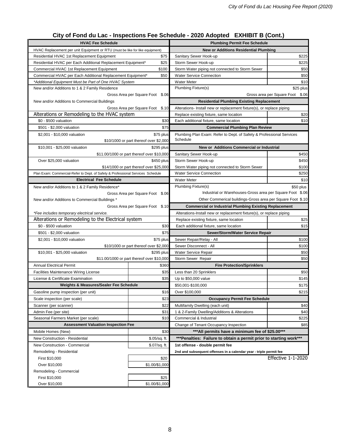# **City of Fond du Lac - Inspections Fee Schedule - 2020 Adopted EXHIBIT B (Cont.)**

| <b>HVAC Fee Schedule</b>                                                        |                                                     | <b>Plumbing Permit Fee Schedule</b>                                              |                                  |  |
|---------------------------------------------------------------------------------|-----------------------------------------------------|----------------------------------------------------------------------------------|----------------------------------|--|
| HVAC Replacement per unit Equipment or RTU (must be like for like equipment)    |                                                     | <b>New or Additions Residential Plumbing</b>                                     |                                  |  |
| \$75<br>Residential HVAC 1st Replacement Equipment                              |                                                     | Sanitary Sewer Hook-up                                                           | \$225                            |  |
| Residential HVAC per Each Additional Replacement Equipment*                     | \$25                                                | Storm Sewer Hook-up                                                              | \$225                            |  |
| \$100<br>Commercial HVAC 1st Replacement Equipment                              |                                                     | Storm Water piping not connected to Storm Sewer                                  | \$50                             |  |
| Commercial HVAC per Each Additional Replacement Equipment*                      | \$50                                                | <b>Water Service Connection</b>                                                  | \$50                             |  |
| *Additional Equipment Must be Part of One HVAC System                           |                                                     | <b>Water Meter</b>                                                               | \$10                             |  |
| New and/or Additions to 1 & 2 Family Residence                                  |                                                     | <b>Plumbing Fixture(s)</b>                                                       | \$25 plus                        |  |
|                                                                                 | Gross Area per Square Foot \$.06                    |                                                                                  | Gross area per Square Foot \$.06 |  |
| New and/or Additions to Commercial Buildings                                    |                                                     | <b>Residential Plumbing Existing Replacement</b>                                 |                                  |  |
|                                                                                 | Gross Area per Square Foot \$.10                    | Alterations- Install new or replacement fixture(s), or replace piping            |                                  |  |
| Alterations or Remodeling to the HVAC system                                    |                                                     | \$20<br>Replace existing fixture, same location                                  |                                  |  |
| \$0 - \$500 valuation                                                           | \$30                                                | Each additional fixture, same location                                           | \$10                             |  |
| \$501 - \$2,000 valuation                                                       | \$75                                                | <b>Commercial Plumbing Plan Review</b>                                           |                                  |  |
| \$2,001 - \$10,000 valuation                                                    | \$75 plus<br>\$10/1000 or part thereof over \$2,000 | Plumbing Plan Exam: Refer to Dept. of Safety & Professional Services<br>Schedule |                                  |  |
| \$10,001 - \$25,000 valuation                                                   | \$295 plus                                          | New or Additions Commercial or Industrial                                        |                                  |  |
|                                                                                 | \$11.00/1000 or part thereof over \$10,000          | Sanitary Sewer Hook-up                                                           | \$450                            |  |
| Over \$25,000 valuation                                                         | \$450 plus                                          | Storm Sewer Hook-up                                                              | \$450                            |  |
|                                                                                 | \$14/1000 or part thereof over \$25,000             | Storm Water piping not connected to Storm Sewer                                  | \$100                            |  |
| Plan Exam: Commercial-Refer to Dept. of Safety & Professional Services Schedule |                                                     | <b>Water Service Connection</b>                                                  | \$250                            |  |
| <b>Electrical Fee Schedule</b>                                                  |                                                     | <b>Water Meter</b>                                                               | \$10                             |  |
| New and/or Additions to 1 & 2 Family Residence*                                 |                                                     | <b>Plumbing Fixture(s)</b>                                                       | \$50 plus                        |  |
|                                                                                 | Gross Area per Square Foot \$.06                    | Industrial or Warehouses-Gross area per Square Foot \$.06                        |                                  |  |
| New and/or Additions to Commercial Buildings *                                  |                                                     | Other Commerical buildings-Gross area per Square Foot \$.10                      |                                  |  |
|                                                                                 | Gross Area per Square Foot \$.10                    | <b>Commercial or Industrial Plumbing Existing Replacement</b>                    |                                  |  |
| *Fee includes temporary electrical service.                                     |                                                     | Alterations-Install new or replacement fixture(s), or replace piping             |                                  |  |
| Alterations or Remodeling to the Electrical system                              |                                                     | Replace existing fixture, same location                                          | \$25                             |  |
| \$0 - \$500 valuation<br>\$30                                                   |                                                     | Each additional fixture, same location                                           | \$15                             |  |
| \$501 - \$2,000 valuation<br>\$75                                               |                                                     | Sewer/Storm/Water Service Repair                                                 |                                  |  |
| \$75 plus<br>\$2,001 - \$10,000 valuation                                       |                                                     | Sewer Repair/Relay - All                                                         | \$100                            |  |
|                                                                                 | \$10/1000 or part thereof over \$2,000              | Sewer Disconnect - All                                                           | \$100                            |  |
| \$10,001 - \$25,000 valuation                                                   | \$295 plus                                          | Water Service Repair                                                             | \$50                             |  |
|                                                                                 | \$11.00/1000 or part thereof over \$10,000          | Storm Sewer Repair                                                               | \$50                             |  |
| <b>Annual Electrical Permit</b>                                                 | \$360                                               | <b>Fire Protection/Sprinklers</b>                                                |                                  |  |
| Facilities Maintenance Wiring License                                           | \$35                                                | Less than 20 Sprinklers                                                          | \$50                             |  |
| License & Certificate Examination                                               | \$35                                                | Up to \$50,000 value                                                             | \$145                            |  |
| <b>Weights &amp; Measures/Sealer Fee Schedule</b>                               |                                                     | \$50,001-\$100,000                                                               | \$175                            |  |
| Gasoline pump inspection (per unit)                                             | \$16                                                | Over \$100,000                                                                   | \$215                            |  |
| Scale inspection (per scale)                                                    | \$23                                                | <b>Occupancy Permit Fee Schedule</b>                                             |                                  |  |
| Scanner (per scanner)                                                           | \$22                                                | Multifamily Dwelling (each unit)                                                 | \$40                             |  |
| Admin Fee (per site)                                                            | \$31                                                | 1 & 2-Family Dwelling/Additions & Alterations                                    | \$40                             |  |
| Seasonal Farmers Market (per scale)                                             | \$10                                                | Commercial & Industrial                                                          | \$225                            |  |
| <b>Assessment Valuation Inspection Fee</b>                                      |                                                     | Change of Tenant Occupancy Inspection                                            | \$85                             |  |
| Mobile Homes (New)                                                              | \$30                                                | *** All permits have a minimum fee of \$25.00***                                 |                                  |  |
| New Construction - Residential                                                  | \$.05/sq. ft.                                       | *** Penalties: Failure to obtain a permit prior to starting work***              |                                  |  |
| New Construction - Commercial<br>\$.07/sq. ft.                                  |                                                     | 1st offense - double permit fee                                                  |                                  |  |
| Remodeling - Residential                                                        |                                                     | 2nd and subsequent offenses in a calendar year - triple permit fee               |                                  |  |
| First \$10,000                                                                  | \$20                                                |                                                                                  | <b>Effective 1-1-2020</b>        |  |
| Over \$10,000                                                                   | \$1.00/\$1,000                                      |                                                                                  |                                  |  |
| Remodeling - Commercial                                                         |                                                     |                                                                                  |                                  |  |
| First \$10,000                                                                  | \$25                                                |                                                                                  |                                  |  |
| Over \$10,000                                                                   | \$1.00/\$1,000                                      |                                                                                  |                                  |  |